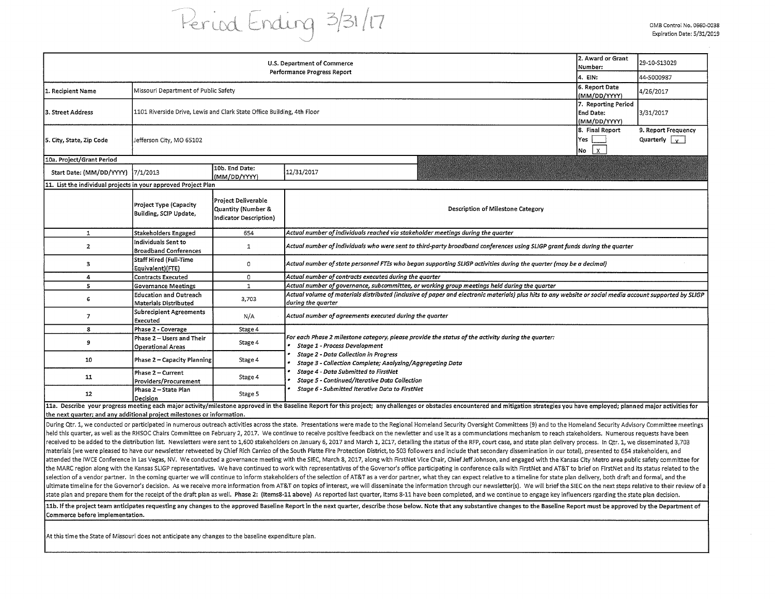## Period Ending 3/31/17

|                                                                         | 2. Award or Grant<br>Number:<br>4. EIN:                                | 29-10-S13029<br>44-5000987                                                 |                                                                                                                                                                                                                                                                                                                                                                                                                                                                                                                                                                                                                                                                                                                                                                                                                                                                                                                                                                                                                                                                                                                                                                                                                                                                                                                                                                                                                                                                                                                                                                                                                                                                                                                                                                                                                                                                              |                                                         |                                             |  |  |  |  |  |
|-------------------------------------------------------------------------|------------------------------------------------------------------------|----------------------------------------------------------------------------|------------------------------------------------------------------------------------------------------------------------------------------------------------------------------------------------------------------------------------------------------------------------------------------------------------------------------------------------------------------------------------------------------------------------------------------------------------------------------------------------------------------------------------------------------------------------------------------------------------------------------------------------------------------------------------------------------------------------------------------------------------------------------------------------------------------------------------------------------------------------------------------------------------------------------------------------------------------------------------------------------------------------------------------------------------------------------------------------------------------------------------------------------------------------------------------------------------------------------------------------------------------------------------------------------------------------------------------------------------------------------------------------------------------------------------------------------------------------------------------------------------------------------------------------------------------------------------------------------------------------------------------------------------------------------------------------------------------------------------------------------------------------------------------------------------------------------------------------------------------------------|---------------------------------------------------------|---------------------------------------------|--|--|--|--|--|
| 1. Recipient Name                                                       | Missouri Department of Public Safety                                   | 6. Report Date<br>(MM/DD/YYYY)                                             | 4/26/2017                                                                                                                                                                                                                                                                                                                                                                                                                                                                                                                                                                                                                                                                                                                                                                                                                                                                                                                                                                                                                                                                                                                                                                                                                                                                                                                                                                                                                                                                                                                                                                                                                                                                                                                                                                                                                                                                    |                                                         |                                             |  |  |  |  |  |
| 3. Street Address                                                       | 1101 Riverside Drive, Lewis and Clark State Office Building, 4th Floor |                                                                            |                                                                                                                                                                                                                                                                                                                                                                                                                                                                                                                                                                                                                                                                                                                                                                                                                                                                                                                                                                                                                                                                                                                                                                                                                                                                                                                                                                                                                                                                                                                                                                                                                                                                                                                                                                                                                                                                              | 7. Reporting Period<br><b>End Date:</b><br>(MM/DD/YYYY) | 3/31/2017                                   |  |  |  |  |  |
| 5. City, State, Zip Code                                                | Jefferson City, MO 65102                                               |                                                                            |                                                                                                                                                                                                                                                                                                                                                                                                                                                                                                                                                                                                                                                                                                                                                                                                                                                                                                                                                                                                                                                                                                                                                                                                                                                                                                                                                                                                                                                                                                                                                                                                                                                                                                                                                                                                                                                                              | 8. Final Report<br>Yes<br>$\mathbf{x}$<br>No            | 9. Report Frequency<br>Quarterly $\sqrt{y}$ |  |  |  |  |  |
| 10a. Project/Grant Period                                               |                                                                        |                                                                            |                                                                                                                                                                                                                                                                                                                                                                                                                                                                                                                                                                                                                                                                                                                                                                                                                                                                                                                                                                                                                                                                                                                                                                                                                                                                                                                                                                                                                                                                                                                                                                                                                                                                                                                                                                                                                                                                              |                                                         |                                             |  |  |  |  |  |
| Start Date: (MM/DD/YYYY)                                                | 7/1/2013                                                               | 10b. End Date:<br>(MM/DD/YYYY)                                             | 12/31/2017                                                                                                                                                                                                                                                                                                                                                                                                                                                                                                                                                                                                                                                                                                                                                                                                                                                                                                                                                                                                                                                                                                                                                                                                                                                                                                                                                                                                                                                                                                                                                                                                                                                                                                                                                                                                                                                                   |                                                         |                                             |  |  |  |  |  |
| 11. List the individual projects in your approved Project Plan          |                                                                        |                                                                            |                                                                                                                                                                                                                                                                                                                                                                                                                                                                                                                                                                                                                                                                                                                                                                                                                                                                                                                                                                                                                                                                                                                                                                                                                                                                                                                                                                                                                                                                                                                                                                                                                                                                                                                                                                                                                                                                              |                                                         |                                             |  |  |  |  |  |
|                                                                         | Project Type (Capacity<br>Building, SCIP Update,                       | Project Deliverable<br>Quantity (Number &<br><b>Indicator Description)</b> | Description of Milestone Category                                                                                                                                                                                                                                                                                                                                                                                                                                                                                                                                                                                                                                                                                                                                                                                                                                                                                                                                                                                                                                                                                                                                                                                                                                                                                                                                                                                                                                                                                                                                                                                                                                                                                                                                                                                                                                            |                                                         |                                             |  |  |  |  |  |
| ${\bf 1}$                                                               | Stakeholders Engaged                                                   | 654                                                                        | Actual number of individuals reached via stakeholder meetings during the quarter                                                                                                                                                                                                                                                                                                                                                                                                                                                                                                                                                                                                                                                                                                                                                                                                                                                                                                                                                                                                                                                                                                                                                                                                                                                                                                                                                                                                                                                                                                                                                                                                                                                                                                                                                                                             |                                                         |                                             |  |  |  |  |  |
| $\mathbf{z}$                                                            | Individuals Sent to<br><b>Broadband Conferences</b>                    | $\mathbf{1}$                                                               | Actual number of individuals who were sent to third-party broadband conferences using SLIGP grant funds during the quarter                                                                                                                                                                                                                                                                                                                                                                                                                                                                                                                                                                                                                                                                                                                                                                                                                                                                                                                                                                                                                                                                                                                                                                                                                                                                                                                                                                                                                                                                                                                                                                                                                                                                                                                                                   |                                                         |                                             |  |  |  |  |  |
| 3                                                                       | <b>Staff Hired (Full-Time</b><br>Equivalent)(FTE)                      | 0                                                                          | Actual number of state personnel FTEs who began supporting SLIGP activities during the quarter (may be a decimal)                                                                                                                                                                                                                                                                                                                                                                                                                                                                                                                                                                                                                                                                                                                                                                                                                                                                                                                                                                                                                                                                                                                                                                                                                                                                                                                                                                                                                                                                                                                                                                                                                                                                                                                                                            |                                                         |                                             |  |  |  |  |  |
| 4                                                                       | <b>Contracts Executed</b>                                              | $\circ$                                                                    | Actual number of contracts executed during the quarter                                                                                                                                                                                                                                                                                                                                                                                                                                                                                                                                                                                                                                                                                                                                                                                                                                                                                                                                                                                                                                                                                                                                                                                                                                                                                                                                                                                                                                                                                                                                                                                                                                                                                                                                                                                                                       |                                                         |                                             |  |  |  |  |  |
| 5                                                                       | <b>Governance Meetings</b>                                             | $\mathbf{1}$                                                               | Actual number of governance, subcommittee, or working group meetings held during the quarter                                                                                                                                                                                                                                                                                                                                                                                                                                                                                                                                                                                                                                                                                                                                                                                                                                                                                                                                                                                                                                                                                                                                                                                                                                                                                                                                                                                                                                                                                                                                                                                                                                                                                                                                                                                 |                                                         |                                             |  |  |  |  |  |
| 6                                                                       | <b>Education and Outreach</b><br>Materials Distributed                 | 3,703                                                                      | Actual volume of materials distributed (inclusive of paper and electronic materials) plus hits to any website or social media account supported by SLIGP<br>during the quarter                                                                                                                                                                                                                                                                                                                                                                                                                                                                                                                                                                                                                                                                                                                                                                                                                                                                                                                                                                                                                                                                                                                                                                                                                                                                                                                                                                                                                                                                                                                                                                                                                                                                                               |                                                         |                                             |  |  |  |  |  |
| $\overline{\mathbf{z}}$                                                 | <b>Subrecipient Agreements</b><br>Executed                             | N/A                                                                        | Actual number of agreements executed during the quarter                                                                                                                                                                                                                                                                                                                                                                                                                                                                                                                                                                                                                                                                                                                                                                                                                                                                                                                                                                                                                                                                                                                                                                                                                                                                                                                                                                                                                                                                                                                                                                                                                                                                                                                                                                                                                      |                                                         |                                             |  |  |  |  |  |
| 8                                                                       | Phase 2 - Coverage                                                     | Stage 4                                                                    |                                                                                                                                                                                                                                                                                                                                                                                                                                                                                                                                                                                                                                                                                                                                                                                                                                                                                                                                                                                                                                                                                                                                                                                                                                                                                                                                                                                                                                                                                                                                                                                                                                                                                                                                                                                                                                                                              |                                                         |                                             |  |  |  |  |  |
| 9                                                                       | Phase 2 - Users and Their<br><b>Operational Areas</b>                  | Stage 4                                                                    | For each Phase 2 milestone category, please provide the status of the activity during the quarter:<br>Stage 1 - Process Development                                                                                                                                                                                                                                                                                                                                                                                                                                                                                                                                                                                                                                                                                                                                                                                                                                                                                                                                                                                                                                                                                                                                                                                                                                                                                                                                                                                                                                                                                                                                                                                                                                                                                                                                          |                                                         |                                             |  |  |  |  |  |
| 10                                                                      | Phase 2 – Capacity Planning                                            | Stage 4                                                                    | <b>Stage 2 - Data Collection in Progress</b><br>Stage 3 - Collection Complete; Analyzing/Aggregating Data                                                                                                                                                                                                                                                                                                                                                                                                                                                                                                                                                                                                                                                                                                                                                                                                                                                                                                                                                                                                                                                                                                                                                                                                                                                                                                                                                                                                                                                                                                                                                                                                                                                                                                                                                                    |                                                         |                                             |  |  |  |  |  |
| 11                                                                      | Phase 2 - Current<br>Providers/Procurement                             | Stage 4                                                                    | Stage 4 - Data Submitted to FirstNet<br>Stage 5 - Continued/Iterative Data Collection<br>Stage 6 - Submitted Iterative Data to FirstNet                                                                                                                                                                                                                                                                                                                                                                                                                                                                                                                                                                                                                                                                                                                                                                                                                                                                                                                                                                                                                                                                                                                                                                                                                                                                                                                                                                                                                                                                                                                                                                                                                                                                                                                                      |                                                         |                                             |  |  |  |  |  |
| 12                                                                      | Phase 2 - State Plan<br>Decision                                       | Stage 5                                                                    |                                                                                                                                                                                                                                                                                                                                                                                                                                                                                                                                                                                                                                                                                                                                                                                                                                                                                                                                                                                                                                                                                                                                                                                                                                                                                                                                                                                                                                                                                                                                                                                                                                                                                                                                                                                                                                                                              |                                                         |                                             |  |  |  |  |  |
| the next quarter; and any additional project milestones or information. |                                                                        |                                                                            | 11a. Describe your progress meeting each major activity/milestone approved in the Baseline Report for this project; any challenges or obstacles encountered and mitigation strategies you have employed; planned major activit                                                                                                                                                                                                                                                                                                                                                                                                                                                                                                                                                                                                                                                                                                                                                                                                                                                                                                                                                                                                                                                                                                                                                                                                                                                                                                                                                                                                                                                                                                                                                                                                                                               |                                                         |                                             |  |  |  |  |  |
|                                                                         |                                                                        |                                                                            | During Qtr. 1, we conducted or participated in numerous outreach activities across the state. Presentations were made to the Regional Homeland Security Oversight Committees (9) and to the Homeland Security Advisory Committ<br>held this quarter, as well as the RHSOC Chairs Committee on February 2, 2017. We continue to receive positive feedback on the newletter and use it as a communciations mechanism to reach stakeholders. Numerous requests have<br>received to be added to the distribution list. Newsletters were sent to 1,600 stakeholders on January 6, 2017 and March 1, 2017, detailing the status of the RFP, court case, and state plan delivery process. In Qtr. 1, we d<br>materials (we were pleased to have our newsletter retweeted by Chief Rich Carrizo of the South Platte Fire Protection District, to 503 followers and include that secondary dissemination in our total), presented to 654 stak<br>attended the IWCE Conference in Las Vegas, NV. We conducted a governance meeting with the SIEC, March 8, 2017, along with FirstNet Vice Chair, Chief Jeff Johnson, and engaged with the Kansas City Metro area public safety c<br>the MARC region along with the Kansas SLIGP representatives. We have continued to work with representatives of the Governor's office participating in conference calls with FirstNet and AT&T to brief on FirstNet and its sta<br>selection of a vendor partner. In the coming quarter we will continue to inform stakeholders of the selection of AT&T as a vendor partner, what they can expect relative to a timeline for state plan delivery, both draft and<br>ultimate timeline for the Governor's decision. As we receive more information from AT&T on topics of interest, we will disseminate the information through our newsletter(s). We will brief the SIEC on the next steps relativ |                                                         |                                             |  |  |  |  |  |

ultimate timeline for the Governor's decision. As we receive more information from AT&T on topics of interest, we will disseminate the information through our newsletter(s). We will brief the SIEC on the next steps relativ state plan and prepare them for the receipt of the draft plan as well. Phase 2: (Items8-11 above) As reported last quarter, Items 8-11 have been completed, and we continue to engage key influencers rgarding the state plan 11b. If the project team anticipates requesting any changes to the approved Baseline Report in the next quarter, describe those below. Note that any substantive changes to the Baseline Report must be approved by the Depart

Commerce before implementation.

At this time the State of Missouri does not anticipate any changes to the baseline expenditure plan.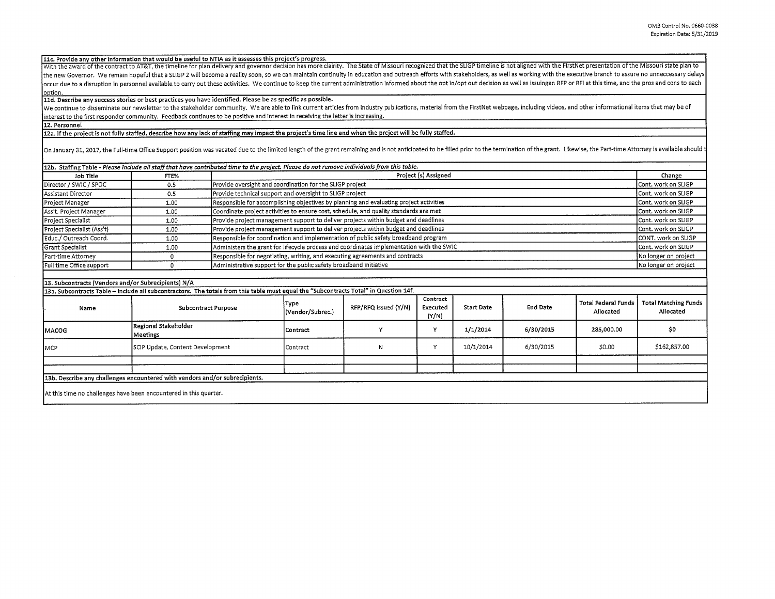**llc. Provide anv other information that would be useful to NTIA as it assesses this project's progress.** 

With the award of the contract to AT&T, the timeline for plan delivery and governor decision has more clairity. The State of Missouri recognized that the SLIGP timeline is not aligned with the FirstNet presentation of the the new Governor. We remain hopeful that a SLIGP 2 will become a reality soon, so we can maintain continuity in education and outreach efforts with stakeholders, as well as working with the executive branch to assure no un occur due to a disruption in personnel available to carry out these activities. We continue to keep the current administration informed about the opt in/opt out decision as well as issuingan RFP or RFI at this time, and th **ontion.** 

**lld. Describe any success stories or best practices you have identified. Please be as specific as possible.** 

We continue to disseminate our newsletter to the stakeholder community. We are able to link current articles from industry publications, material from the FirstNet webpage, including videos, and other informational items t interest to the first responder community. Feedback continues to be positive and interest in receiving the letter is increasing.

**12. Personnel** 

**12a. If the project is not fully staffed, describe how any lack of staffing may impact the project's time line and when the project will be fully staffed.** 

On January 31, 2017, the Full-time Office Support position was vacated due to the limited length of the grant remaining and is not anticipated to be filled prior to the termination of the grant. Likewise, the Part-time Att

|                            |      | 12b. Staffing Table - Please include all staff that have contributed time to the project. Please do not remove individuals from this table. |                      |
|----------------------------|------|---------------------------------------------------------------------------------------------------------------------------------------------|----------------------|
| Job Title                  | FTE% | Project (s) Assigned                                                                                                                        | Change               |
| Director / SWIC / SPOC     | 0.5  | Provide oversight and coordination for the SLIGP project                                                                                    | Cont. work on SLIGP  |
| Assistant Director         | 0.5  | Provide technical support and oversight to SLIGP project                                                                                    | Cont. work on SLIGP  |
| Project Manager            | 1.00 | Responsible for accomplishing objectives by planning and evaluating project activities                                                      | Cont. work on SLIGP  |
| Ass't. Project Manager     | 1.00 | Coordinate project activities to ensure cost, schedule, and quality standards are met                                                       | Cont. work on SLIGP  |
| Project Specialist         | 1.00 | Provide project management support to deliver projects within budget and deadlines                                                          | Cont. work on SLIGP  |
| Project Specialist (Ass't) | 1.00 | Provide project management support to deliver projects within budget and deadlines                                                          | Cont. work on SLIGP  |
| Educ./ Outreach Coord.     | 1.00 | Responsible for coordination and implementation of public safety broadband program                                                          | CONT. work on SLIGP  |
| Grant Specialist           | 1.00 | Administers the grant for lifecycle process and coordinates implementation with the SWIC                                                    | Cont. work on SLIGP  |
| Part-time Attorney         |      | Responsible for negotiating, writing, and executing agreements and contracts                                                                | No longer on project |
| Full time Office support   |      | Administrative support for the public safety broadband initiative                                                                           | No longer on project |

## **13. Subcontracts (Vendors and/or Subrecipients) N/A**

**13a. Subcontracts Table** -**Include all subcontractors. The totals from this table must equal the "Subcontracts Total" in Question 14f.** 

| Name          | <b>Subcontract Purpose</b>                                                   | Type<br>(Vendor/Subrec.) | RFP/RFQ issued (Y/N) | Contract<br>Executed<br>(Y/N) | <b>Start Date</b> | <b>End Date</b> | Total Federal Funds<br>Allocated | <b>Total Matching Funds</b><br>Allocated |
|---------------|------------------------------------------------------------------------------|--------------------------|----------------------|-------------------------------|-------------------|-----------------|----------------------------------|------------------------------------------|
| <b>IMACOG</b> | Regional Stakeholder<br>Meetings                                             | Contract                 |                      | v                             | 1/1/2014          | 6/30/2015       | 285,000,00                       | \$0                                      |
| <b>IMCP</b>   | SCIP Update, Content Development                                             | Contract                 | N                    | $\ddot{}$                     | 10/1/2014         | 6/30/2015       | \$0.00                           | \$162,857.00                             |
|               | (13b. Describe any challenges encountered with vendors and/or subrecipients. |                          |                      |                               |                   |                 |                                  |                                          |
|               | At this time no challenges have been encountered in this quarter.            |                          |                      |                               |                   |                 |                                  |                                          |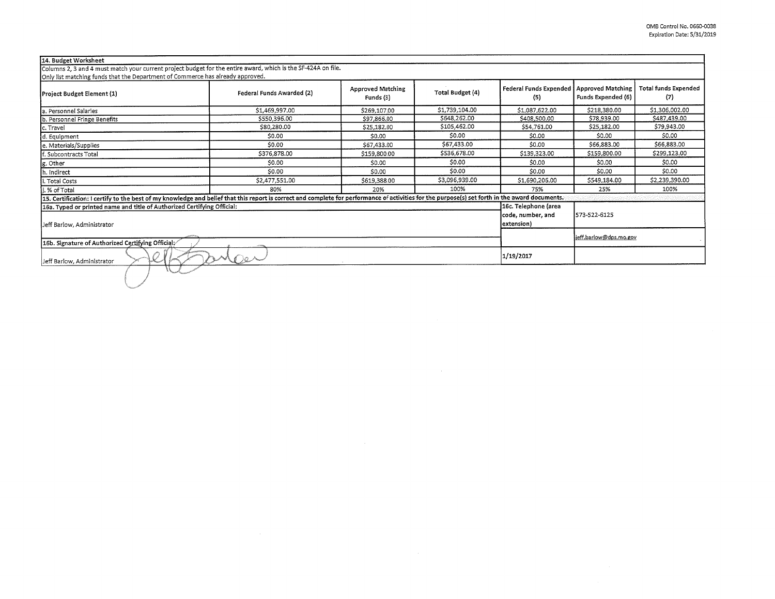| Project Budget Element (1)                                                                                                                                                                      | Federal Funds Awarded (2)                               | <b>Approved Matching</b><br>Funds (3) | Total Budget (4) | <b>Federal Funds Expended</b><br>(5) | <b>Approved Matching</b><br>Funds Expended (6) | <b>Total funds Expended</b><br>(7) |
|-------------------------------------------------------------------------------------------------------------------------------------------------------------------------------------------------|---------------------------------------------------------|---------------------------------------|------------------|--------------------------------------|------------------------------------------------|------------------------------------|
| la. Personnel Salaries                                                                                                                                                                          | \$1,469,997.00                                          | \$269,107.00                          | \$1,739,104.00   | \$1,087,622.00                       | \$218,380.00                                   | \$1,306,002.00                     |
| b. Personnel Fringe Benefits                                                                                                                                                                    | \$550,396.00                                            | \$97.866.00                           | \$648,262.00     | \$408,500.00                         | \$78,939.00                                    | \$487,439.00                       |
| c. Travel                                                                                                                                                                                       | \$80,280.00                                             | \$25,182.00                           | \$105,462.00     | \$54,761.00                          | \$25,182.00                                    | \$79,943.00                        |
| d. Equipment                                                                                                                                                                                    | \$0.00                                                  | S0.00                                 | \$0.00           | \$0.00                               | \$0.00                                         | \$0.00                             |
| e. Materials/Supplies                                                                                                                                                                           | \$0.00                                                  | \$67,433.00                           | \$67,433.00      | \$0.00                               | \$66,883.00                                    | \$66,883.00                        |
| f. Subcontracts Total                                                                                                                                                                           | \$376,878.00                                            | \$159,800.00                          | \$536,678.00     | \$139,323.00                         | \$159,800.00                                   | \$299,123.00                       |
| g. Other                                                                                                                                                                                        | \$0.00                                                  | \$0.00                                | \$0.00           | \$0.00                               | \$0.00                                         | \$0.00                             |
| h. Indirect                                                                                                                                                                                     | \$0.00                                                  | \$0.00                                | \$0.00           | \$0.00                               | \$0.00                                         | \$0.00                             |
| li. Total Costs                                                                                                                                                                                 | \$2,477,551.00                                          | \$619,388.00                          | \$3,096,939.00   | \$1,690,206.00                       | \$549,184.00                                   | \$2,239,390.00                     |
| j. % of Total                                                                                                                                                                                   | 80%                                                     | 20%                                   | 100%             | 75%                                  | 25%                                            | 100%                               |
| 15. Certification: I certify to the best of my knowledge and belief that this report is correct and complete for performance of activities for the purpose(s) set forth in the award documents. |                                                         |                                       |                  |                                      |                                                |                                    |
| 16a. Typed or printed name and title of Authorized Certifying Official:<br>Jeff Barlow, Administrator                                                                                           | 16c. Telephone (area<br>code, number, and<br>extension) | 573-522-6125                          |                  |                                      |                                                |                                    |
| 16b. Signature of Authorized Certifying Official;                                                                                                                                               |                                                         | ieff.barlow@dps.mo.gov                |                  |                                      |                                                |                                    |
| Jeff Barlow, Administrator                                                                                                                                                                      | Mer                                                     |                                       |                  | 1/19/2017                            |                                                |                                    |

 $\mathcal{L}^{\text{max}}_{\text{max}}$